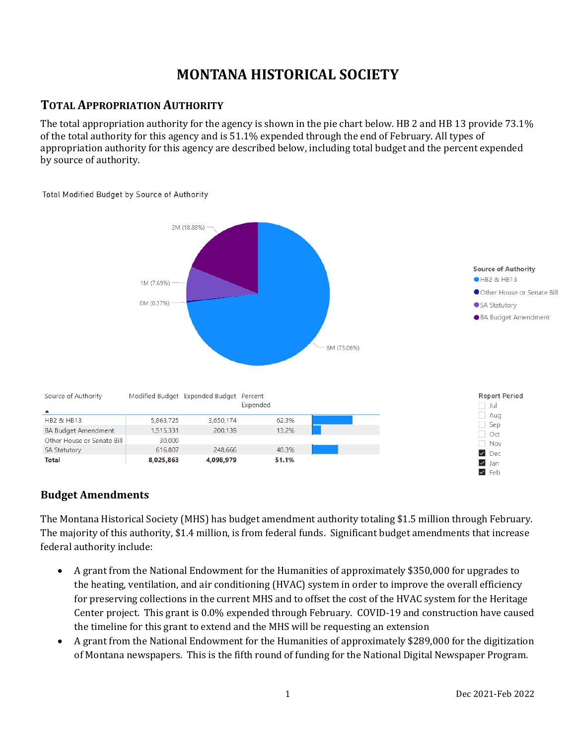# **MONTANA HISTORICAL SOCIETY**

## **TOTAL APPROPRIATION AUTHORITY**

The total appropriation authority for the agency is shown in the pie chart below. HB 2 and HB 13 provide 73.1% of the total authority for this agency and is 51.1% expended through the end of February. All types of appropriation authority for this agency are described below, including total budget and the percent expended by source of authority.



**Total Modified Budget by Source of Authority** 

## **Budget Amendments**

The Montana Historical Society (MHS) has budget amendment authority totaling \$1.5 million through February. The majority of this authority, \$1.4 million, is from federal funds. Significant budget amendments that increase federal authority include:

- A grant from the National Endowment for the Humanities of approximately \$350,000 for upgrades to the heating, ventilation, and air conditioning (HVAC) system in order to improve the overall efficiency for preserving collections in the current MHS and to offset the cost of the HVAC system for the Heritage Center project. This grant is 0.0% expended through February. COVID-19 and construction have caused the timeline for this grant to extend and the MHS will be requesting an extension
- A grant from the National Endowment for the Humanities of approximately \$289,000 for the digitization of Montana newspapers. This is the fifth round of funding for the National Digital Newspaper Program.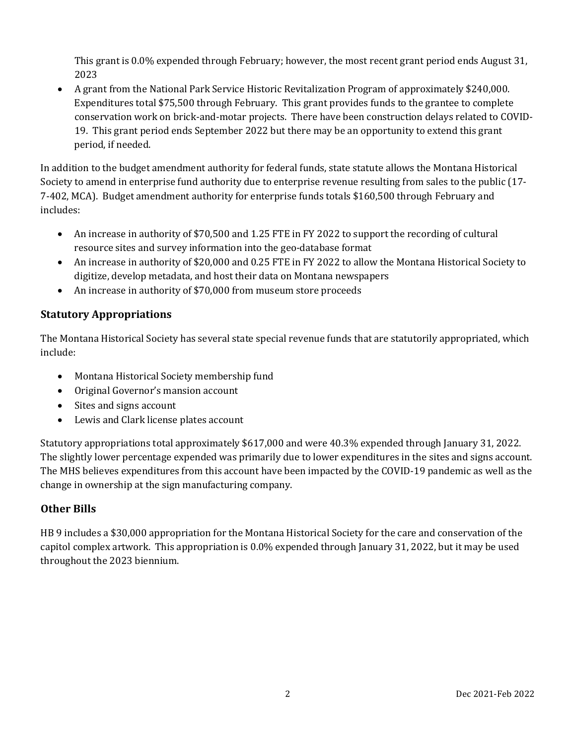This grant is 0.0% expended through February; however, the most recent grant period ends August 31, 2023

• A grant from the National Park Service Historic Revitalization Program of approximately \$240,000. Expenditures total \$75,500 through February. This grant provides funds to the grantee to complete conservation work on brick-and-motar projects. There have been construction delays related to COVID-19. This grant period ends September 2022 but there may be an opportunity to extend this grant period, if needed.

In addition to the budget amendment authority for federal funds, state statute allows the Montana Historical Society to amend in enterprise fund authority due to enterprise revenue resulting from sales to the public (17- 7-402, MCA). Budget amendment authority for enterprise funds totals \$160,500 through February and includes:

- An increase in authority of \$70,500 and 1.25 FTE in FY 2022 to support the recording of cultural resource sites and survey information into the geo-database format
- An increase in authority of \$20,000 and 0.25 FTE in FY 2022 to allow the Montana Historical Society to digitize, develop metadata, and host their data on Montana newspapers
- An increase in authority of \$70,000 from museum store proceeds

## **Statutory Appropriations**

The Montana Historical Society has several state special revenue funds that are statutorily appropriated, which include:

- Montana Historical Society membership fund
- Original Governor's mansion account
- Sites and signs account
- Lewis and Clark license plates account

Statutory appropriations total approximately \$617,000 and were 40.3% expended through January 31, 2022. The slightly lower percentage expended was primarily due to lower expenditures in the sites and signs account. The MHS believes expenditures from this account have been impacted by the COVID-19 pandemic as well as the change in ownership at the sign manufacturing company.

## **Other Bills**

HB 9 includes a \$30,000 appropriation for the Montana Historical Society for the care and conservation of the capitol complex artwork. This appropriation is 0.0% expended through January 31, 2022, but it may be used throughout the 2023 biennium.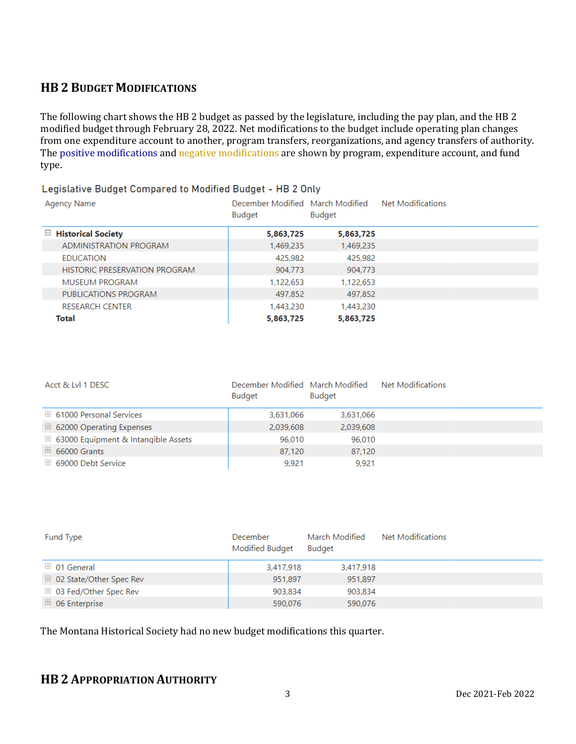## **HB 2 BUDGET MODIFICATIONS**

The following chart shows the HB 2 budget as passed by the legislature, including the pay plan, and the HB 2 modified budget through February 28, 2022. Net modifications to the budget include operating plan changes from one expenditure account to another, program transfers, reorganizations, and agency transfers of authority. The positive modifications and negative modifications are shown by program, expenditure account, and fund type.

#### Legislative Budget Compared to Modified Budget - HB 2 Only

| Agency Name                   | December Modified March Modified<br><b>Budget</b> | Budget    | Net Modifications |
|-------------------------------|---------------------------------------------------|-----------|-------------------|
| $\Box$ Historical Society     | 5,863,725                                         | 5,863,725 |                   |
| ADMINISTRATION PROGRAM        | 1,469,235                                         | 1,469,235 |                   |
| <b>EDUCATION</b>              | 425,982                                           | 425,982   |                   |
| HISTORIC PRESERVATION PROGRAM | 904.773                                           | 904.773   |                   |
| MUSEUM PROGRAM                | 1,122,653                                         | 1,122,653 |                   |
| PUBLICATIONS PROGRAM          | 497,852                                           | 497,852   |                   |
| <b>RESEARCH CENTER</b>        | 1,443,230                                         | 1,443,230 |                   |
| Total                         | 5,863,725                                         | 5,863,725 |                   |

| Acct & Lvl 1 DESC                              | December Modified March Modified<br><b>Budget</b> | <b>Budget</b> | Net Modifications |  |
|------------------------------------------------|---------------------------------------------------|---------------|-------------------|--|
| $\boxplus$ 61000 Personal Services             | 3,631,066                                         | 3,631,066     |                   |  |
| $\boxplus$ 62000 Operating Expenses            | 2,039,608                                         | 2,039,608     |                   |  |
| $\boxplus$ 63000 Equipment & Intangible Assets | 96,010                                            | 96,010        |                   |  |
| $\boxplus$ 66000 Grants                        | 87,120                                            | 87,120        |                   |  |
| $\boxplus$ 69000 Debt Service                  | 9,921                                             | 9.921         |                   |  |

| Fund Type                          | December<br>Modified Budget | March Modified<br><b>Budget</b> | Net Modifications |
|------------------------------------|-----------------------------|---------------------------------|-------------------|
| $\boxplus$ 01 General              | 3,417,918                   | 3,417,918                       |                   |
| $\boxplus$ 02 State/Other Spec Rev | 951,897                     | 951,897                         |                   |
| $\boxplus$ 03 Fed/Other Spec Rev   | 903,834                     | 903,834                         |                   |
| $\boxplus$ 06 Enterprise           | 590,076                     | 590,076                         |                   |

The Montana Historical Society had no new budget modifications this quarter.

## **HB 2 APPROPRIATION AUTHORITY**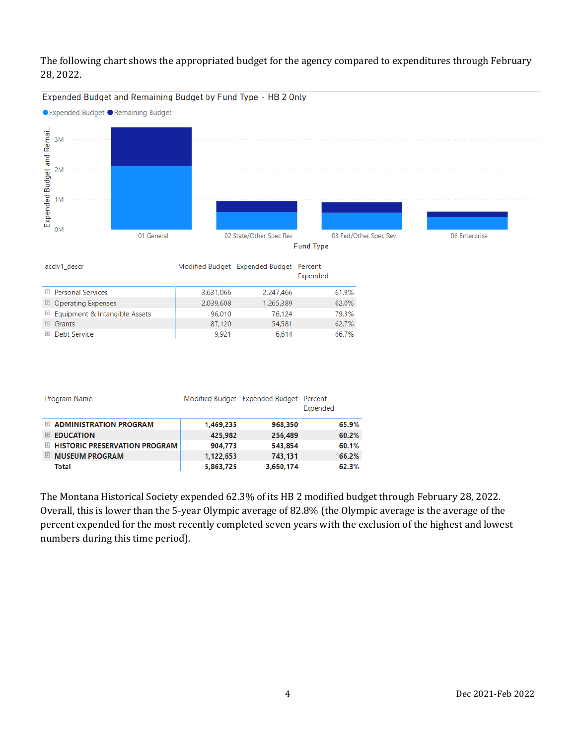### The following chart shows the appropriated budget for the agency compared to expenditures through February 28, 2022.



Expended Budget and Remaining Budget by Fund Type - HB 2 Only

The Montana Historical Society expended 62.3% of its HB 2 modified budget through February 28, 2022. Overall, this is lower than the 5-year Olympic average of 82.8% (the Olympic average is the average of the percent expended for the most recently completed seven years with the exclusion of the highest and lowest numbers during this time period).